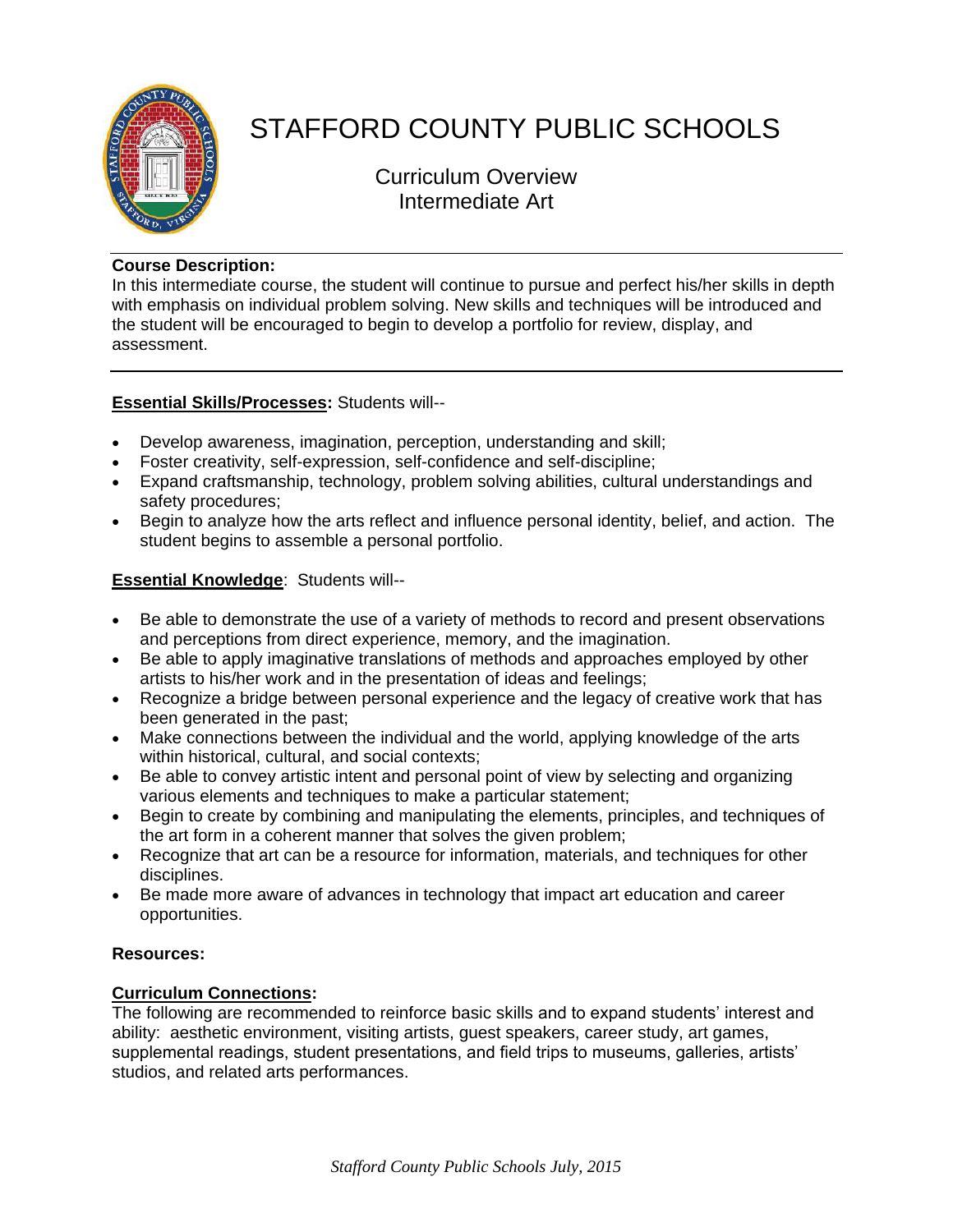

# STAFFORD COUNTY PUBLIC SCHOOLS

Curriculum Overview Intermediate Art

### **Course Description:**

In this intermediate course, the student will continue to pursue and perfect his/her skills in depth with emphasis on individual problem solving. New skills and techniques will be introduced and the student will be encouraged to begin to develop a portfolio for review, display, and assessment.

## **Essential Skills/Processes:** Students will--

- Develop awareness, imagination, perception, understanding and skill;
- Foster creativity, self-expression, self-confidence and self-discipline;
- Expand craftsmanship, technology, problem solving abilities, cultural understandings and safety procedures;
- Begin to analyze how the arts reflect and influence personal identity, belief, and action. The student begins to assemble a personal portfolio.

## **Essential Knowledge**: Students will--

- Be able to demonstrate the use of a variety of methods to record and present observations and perceptions from direct experience, memory, and the imagination.
- Be able to apply imaginative translations of methods and approaches employed by other artists to his/her work and in the presentation of ideas and feelings;
- Recognize a bridge between personal experience and the legacy of creative work that has been generated in the past;
- Make connections between the individual and the world, applying knowledge of the arts within historical, cultural, and social contexts;
- Be able to convey artistic intent and personal point of view by selecting and organizing various elements and techniques to make a particular statement;
- Begin to create by combining and manipulating the elements, principles, and techniques of the art form in a coherent manner that solves the given problem;
- Recognize that art can be a resource for information, materials, and techniques for other disciplines.
- Be made more aware of advances in technology that impact art education and career opportunities.

#### **Resources:**

#### **Curriculum Connections:**

The following are recommended to reinforce basic skills and to expand students' interest and ability: aesthetic environment, visiting artists, guest speakers, career study, art games, supplemental readings, student presentations, and field trips to museums, galleries, artists' studios, and related arts performances.